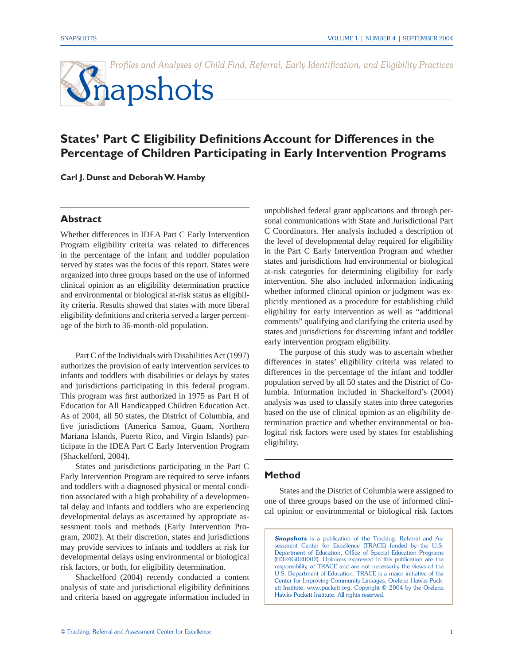Profiles and Analyses of Child Find, Referral, Early Identification, and Eligibility Practices

# **S**napshots

## **States' Part C Eligibility Definitions Account for Differences in the Percentage of Children Participating in Early Intervention Programs**

**Carl J. Dunst and Deborah W. Hamby**

## **Abstract**

Whether differences in IDEA Part C Early Intervention Program eligibility criteria was related to differences in the percentage of the infant and toddler population served by states was the focus of this report. States were organized into three groups based on the use of informed clinical opinion as an eligibility determination practice and environmental or biological at-risk status as eligibility criteria. Results showed that states with more liberal eligibility definitions and criteria served a larger percentage of the birth to 36-month-old population.

 Part C of the Individuals with Disabilities Act (1997) authorizes the provision of early intervention services to infants and toddlers with disabilities or delays by states and jurisdictions participating in this federal program. This program was first authorized in 1975 as Part H of Education for All Handicapped Children Education Act. As of 2004, all 50 states, the District of Columbia, and five jurisdictions (America Samoa, Guam, Northern Mariana Islands, Puerto Rico, and Virgin Islands) participate in the IDEA Part C Early Intervention Program (Shackelford, 2004).

 States and jurisdictions participating in the Part C Early Intervention Program are required to serve infants and toddlers with a diagnosed physical or mental condition associated with a high probability of a developmental delay and infants and toddlers who are experiencing developmental delays as ascertained by appropriate assessment tools and methods (Early Intervention Program, 2002). At their discretion, states and jurisdictions may provide services to infants and toddlers at risk for developmental delays using environmental or biological risk factors, or both, for eligibility determination.

Shackelford (2004) recently conducted a content analysis of state and jurisdictional eligibility definitions and criteria based on aggregate information included in

unpublished federal grant applications and through personal communications with State and Jurisdictional Part C Coordinators. Her analysis included a description of the level of developmental delay required for eligibility in the Part C Early Intervention Program and whether states and jurisdictions had environmental or biological at-risk categories for determining eligibility for early intervention. She also included information indicating whether informed clinical opinion or judgment was explicitly mentioned as a procedure for establishing child eligibility for early intervention as well as "additional comments" qualifying and clarifying the criteria used by states and jurisdictions for discerning infant and toddler early intervention program eligibility.

The purpose of this study was to ascertain whether differences in states' eligibility criteria was related to differences in the percentage of the infant and toddler population served by all 50 states and the District of Columbia. Information included in Shackelford's (2004) analysis was used to classify states into three categories based on the use of clinical opinion as an eligibility determination practice and whether environmental or biological risk factors were used by states for establishing eligibility.

## **Method**

States and the District of Columbia were assigned to one of three groups based on the use of informed clinical opinion or environmental or biological risk factors

**Snapshots** is a publication of the Tracking, Referral and Assessment Center for Excellence (TRACE) funded by the U.S. Department of Education, Office of Special Education Programs (H324G020002). Opinions expressed in this publication are the responsibility of TRACE and are not necessarily the views of the U.S. Department of Education. TRACE is a major initiative of the Center for Improving Community Linkages, Orelena Hawks Puckett Institute, www.puckett.org. Copyright © 2004 by the Orelena Hawks Puckett Institute. All rights reserved.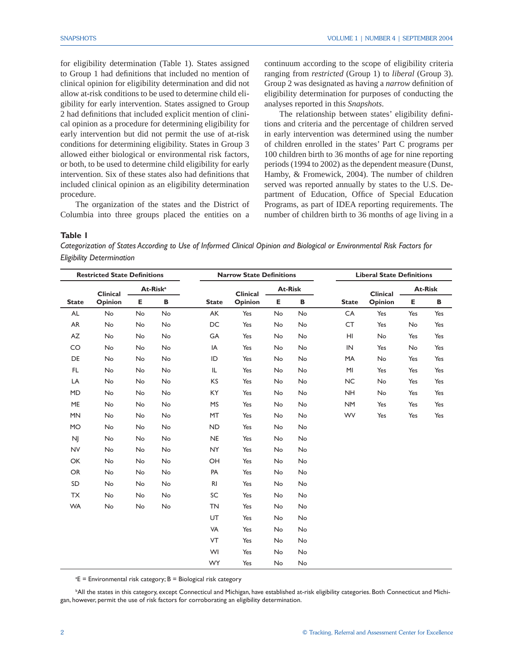for eligibility determination (Table 1). States assigned to Group 1 had definitions that included no mention of clinical opinion for eligibility determination and did not allow at-risk conditions to be used to determine child eligibility for early intervention. States assigned to Group 2 had definitions that included explicit mention of clinical opinion as a procedure for determining eligibility for early intervention but did not permit the use of at-risk conditions for determining eligibility. States in Group 3 allowed either biological or environmental risk factors, or both, to be used to determine child eligibility for early intervention. Six of these states also had definitions that included clinical opinion as an eligibility determination procedure.

The organization of the states and the District of Columbia into three groups placed the entities on a

continuum according to the scope of eligibility criteria ranging from *restricted* (Group 1) to *liberal* (Group 3). Group 2 was designated as having a *narrow* definition of eligibility determination for purposes of conducting the analyses reported in this *Snapshots*.

The relationship between states' eligibility definitions and criteria and the percentage of children served in early intervention was determined using the number of children enrolled in the states' Part C programs per 100 children birth to 36 months of age for nine reporting periods (1994 to 2002) as the dependent measure (Dunst, Hamby, & Fromewick, 2004). The number of children served was reported annually by states to the U.S. Department of Education, Office of Special Education Programs, as part of IDEA reporting requirements. The number of children birth to 36 months of age living in a

#### **Table 1**

*Categorization of States According to Use of Informed Clinical Opinion and Biological or Environmental Risk Factors for Eligibility Determination*

| <b>Restricted State Definitions</b> |                            |                      |           | <b>Narrow State Definitions</b> |                 |                |           | <b>Liberal State Definitions</b> |          |                |     |
|-------------------------------------|----------------------------|----------------------|-----------|---------------------------------|-----------------|----------------|-----------|----------------------------------|----------|----------------|-----|
|                                     | <b>Clinical</b><br>Opinion | At-Risk <sup>a</sup> |           |                                 | <b>Clinical</b> | <b>At-Risk</b> |           |                                  | Clinical | <b>At-Risk</b> |     |
| <b>State</b>                        |                            | Е                    | В         | <b>State</b>                    | Opinion         | Е              | В         | <b>State</b>                     | Opinion  | Е              | В   |
| <b>AL</b>                           | No                         | No                   | No        | AK                              | Yes             | No             | No        | CA                               | Yes      | Yes            | Yes |
| AR                                  | No                         | No                   | No        | DC                              | Yes             | No             | No        | <b>CT</b>                        | Yes      | No             | Yes |
| AZ                                  | No                         | No                   | <b>No</b> | GA                              | Yes             | <b>No</b>      | <b>No</b> | HI                               | No       | Yes            | Yes |
| CO                                  | No                         | No                   | No        | IA                              | Yes             | No             | No        | IN                               | Yes      | No             | Yes |
| DE                                  | No                         | No                   | No        | ID                              | Yes             | No             | No        | MA                               | No       | Yes            | Yes |
| FL.                                 | No                         | No                   | No        | IL                              | Yes             | No             | No        | MI                               | Yes      | Yes            | Yes |
| LA                                  | No                         | No                   | No        | KS                              | Yes             | No             | No        | <b>NC</b>                        | No       | Yes            | Yes |
| <b>MD</b>                           | No                         | No                   | No        | KY                              | Yes             | No             | No        | <b>NH</b>                        | No       | Yes            | Yes |
| ME                                  | No                         | No                   | No        | <b>MS</b>                       | Yes             | No             | No        | <b>NM</b>                        | Yes      | Yes            | Yes |
| <b>MN</b>                           | No                         | No                   | No        | <b>MT</b>                       | Yes             | No             | No        | <b>WV</b>                        | Yes      | Yes            | Yes |
| <b>MO</b>                           | No                         | No                   | No        | <b>ND</b>                       | Yes             | No             | No        |                                  |          |                |     |
| NJ                                  | No                         | No                   | No        | <b>NE</b>                       | Yes             | No             | No        |                                  |          |                |     |
| <b>NV</b>                           | No                         | No                   | No        | <b>NY</b>                       | Yes             | No             | No        |                                  |          |                |     |
| OK                                  | No                         | No                   | No        | OH                              | Yes             | No             | No        |                                  |          |                |     |
| OR                                  | No                         | No                   | No        | PA                              | Yes             | No             | No        |                                  |          |                |     |
| SD                                  | No                         | No                   | No        | R <sub>l</sub>                  | Yes             | No             | No        |                                  |          |                |     |
| TX                                  | No                         | No                   | No        | SC                              | Yes             | No             | No        |                                  |          |                |     |
| <b>WA</b>                           | No                         | No                   | No        | <b>TN</b>                       | Yes             | No             | No        |                                  |          |                |     |
|                                     |                            |                      |           | UT                              | Yes             | No             | No        |                                  |          |                |     |
|                                     |                            |                      |           | VA                              | Yes             | No             | No        |                                  |          |                |     |
|                                     |                            |                      |           | VT                              | Yes             | No             | No        |                                  |          |                |     |
|                                     |                            |                      |           | WI                              | Yes             | No             | No        |                                  |          |                |     |
|                                     |                            |                      |           | <b>WY</b>                       | Yes             | No             | No        |                                  |          |                |     |

a E = Environmental risk category; B = Biological risk category

b All the states in this category, except Connecticul and Michigan, have established at-risk eligibility categories. Both Connecticut and Michigan, however, permit the use of risk factors for corroborating an eligibility determination.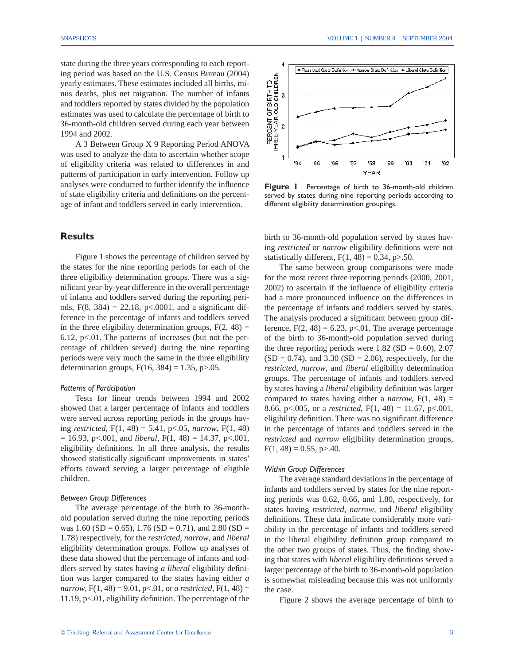state during the three years corresponding to each reporting period was based on the U.S. Census Bureau (2004) yearly estimates. These estimates included all births, minus deaths, plus net migration. The number of infants and toddlers reported by states divided by the population estimates was used to calculate the percentage of birth to 36-month-old children served during each year between 1994 and 2002.

A 3 Between Group X 9 Reporting Period ANOVA was used to analyze the data to ascertain whether scope of eligibility criteria was related to differences in and patterns of participation in early intervention. Follow up analyses were conducted to further identify the influence of state eligibility criteria and definitions on the percentage of infant and toddlers served in early intervention.

## **Results**

 Figure 1 shows the percentage of children served by the states for the nine reporting periods for each of the three eligibility determination groups. There was a significant year-by-year difference in the overall percentage of infants and toddlers served during the reporting periods,  $F(8, 384) = 22.18$ ,  $p< .0001$ , and a significant difference in the percentage of infants and toddlers served in the three eligibility determination groups,  $F(2, 48) =$ 6.12,  $p<01$ . The patterns of increases (but not the percentage of children served) during the nine reporting periods were very much the same in the three eligibility determination groups,  $F(16, 384) = 1.35$ , p $> 0.05$ .

#### *Patterns of Participation*

Tests for linear trends between 1994 and 2002 showed that a larger percentage of infants and toddlers were served across reporting periods in the groups having *restricted*, F(1, 48) = 5.41, p<.05, *narrow*, F(1, 48)  $= 16.93$ , p<.001, and *liberal*, F(1, 48) = 14.37, p<.001, eligibility definitions. In all three analysis, the results showed statistically significant improvements in states' efforts toward serving a larger percentage of eligible children.

#### *Between Group Differences*

The average percentage of the birth to 36-monthold population served during the nine reporting periods was 1.60 (SD = 0.65), 1.76 (SD = 0.71), and 2.80 (SD = 1.78) respectively, for the *restricted*, *narrow*, and *liberal* eligibility determination groups. Follow up analyses of these data showed that the percentage of infants and toddlers served by states having *a liberal* eligibility definition was larger compared to the states having either *a narrow*,  $F(1, 48) = 9.01$ ,  $p<0.01$ , or *a restricted*,  $F(1, 48) =$ 11.19,  $p<01$ , eligibility definition. The percentage of the



Figure 1 Percentage of birth to 36-month-old children served by states during nine reporting periods according to different eligibility determination groupings.

birth to 36-month-old population served by states having *restricted* or *narrow* eligibility definitions were not statistically different,  $F(1, 48) = 0.34$ , p>.50.

 The same between group comparisons were made for the most recent three reporting periods (2000, 2001, 2002) to ascertain if the influence of eligibility criteria had a more pronounced influence on the differences in the percentage of infants and toddlers served by states. The analysis produced a significant between group difference,  $F(2, 48) = 6.23$ , p<.01. The average percentage of the birth to 36-month-old population served during the three reporting periods were  $1.82$  (SD = 0.60), 2.07  $(SD = 0.74)$ , and 3.30  $(SD = 2.06)$ , respectively, for the *restricted*, *narrow*, and *liberal* eligibility determination groups. The percentage of infants and toddlers served by states having a *liberal* eligibility definition was larger compared to states having either a *narrow*,  $F(1, 48) =$ 8.66, p<.005, or a *restricted*, F(1, 48) = 11.67, p<.001, eligibility definition. There was no significant difference in the percentage of infants and toddlers served in the *restricted* and *narrow* eligibility determination groups,  $F(1, 48) = 0.55$ , p $> 0.40$ .

#### *Within Group Differences*

 The average standard deviations in the percentage of infants and toddlers served by states for the nine reporting periods was 0.62, 0.66, and 1.80, respectively, for states having *restricted*, *narrow*, and *liberal* eligibility definitions. These data indicate considerably more variability in the percentage of infants and toddlers served in the liberal eligibility definition group compared to the other two groups of states. Thus, the finding showing that states with *liberal* eligibility definitions served a larger percentage of the birth to 36-month-old population is somewhat misleading because this was not uniformly the case.

Figure 2 shows the average percentage of birth to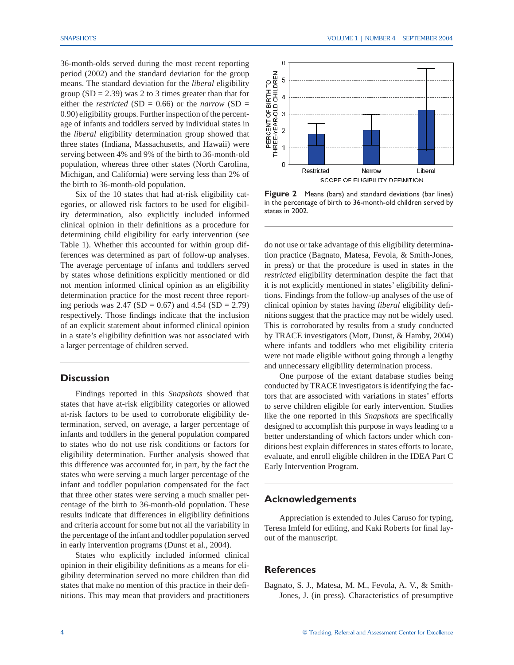36-month-olds served during the most recent reporting period (2002) and the standard deviation for the group means. The standard deviation for the *liberal* eligibility group  $(SD = 2.39)$  was 2 to 3 times greater than that for either the *restricted* (SD = 0.66) or the *narrow* (SD = 0.90) eligibility groups. Further inspection of the percentage of infants and toddlers served by individual states in the *liberal* eligibility determination group showed that three states (Indiana, Massachusetts, and Hawaii) were serving between 4% and 9% of the birth to 36-month-old population, whereas three other states (North Carolina, Michigan, and California) were serving less than 2% of the birth to 36-month-old population.

 Six of the 10 states that had at-risk eligibility categories, or allowed risk factors to be used for eligibility determination, also explicitly included informed clinical opinion in their definitions as a procedure for determining child eligibility for early intervention (see Table 1). Whether this accounted for within group differences was determined as part of follow-up analyses. The average percentage of infants and toddlers served by states whose definitions explicitly mentioned or did not mention informed clinical opinion as an eligibility determination practice for the most recent three reporting periods was 2.47 (SD = 0.67) and 4.54 (SD = 2.79) respectively. Those findings indicate that the inclusion of an explicit statement about informed clinical opinion in a state's eligibility definition was not associated with a larger percentage of children served.

## **Discussion**

Findings reported in this *Snapshots* showed that states that have at-risk eligibility categories or allowed at-risk factors to be used to corroborate eligibility determination, served, on average, a larger percentage of infants and toddlers in the general population compared to states who do not use risk conditions or factors for eligibility determination. Further analysis showed that this difference was accounted for, in part, by the fact the states who were serving a much larger percentage of the infant and toddler population compensated for the fact that three other states were serving a much smaller percentage of the birth to 36-month-old population. These results indicate that differences in eligibility definitions and criteria account for some but not all the variability in the percentage of the infant and toddler population served in early intervention programs (Dunst et al., 2004).

 States who explicitly included informed clinical opinion in their eligibility definitions as a means for eligibility determination served no more children than did states that make no mention of this practice in their definitions. This may mean that providers and practitioners



**Figure 2** Means (bars) and standard deviations (bar lines) in the percentage of birth to 36-month-old children served by states in 2002.

do not use or take advantage of this eligibility determination practice (Bagnato, Matesa, Fevola, & Smith-Jones, in press) or that the procedure is used in states in the *restricted* eligibility determination despite the fact that it is not explicitly mentioned in states' eligibility definitions. Findings from the follow-up analyses of the use of clinical opinion by states having *liberal* eligibility definitions suggest that the practice may not be widely used. This is corroborated by results from a study conducted by TRACE investigators (Mott, Dunst, & Hamby, 2004) where infants and toddlers who met eligibility criteria were not made eligible without going through a lengthy and unnecessary eligibility determination process.

 One purpose of the extant database studies being conducted by TRACE investigators is identifying the factors that are associated with variations in states' efforts to serve children eligible for early intervention. Studies like the one reported in this *Snapshots* are specifically designed to accomplish this purpose in ways leading to a better understanding of which factors under which conditions best explain differences in states efforts to locate, evaluate, and enroll eligible children in the IDEA Part C Early Intervention Program.

## **Acknowledgements**

Appreciation is extended to Jules Caruso for typing, Teresa Imfeld for editing, and Kaki Roberts for final layout of the manuscript.

## **References**

Bagnato, S. J., Matesa, M. M., Fevola, A. V., & Smith-Jones, J. (in press). Characteristics of presumptive